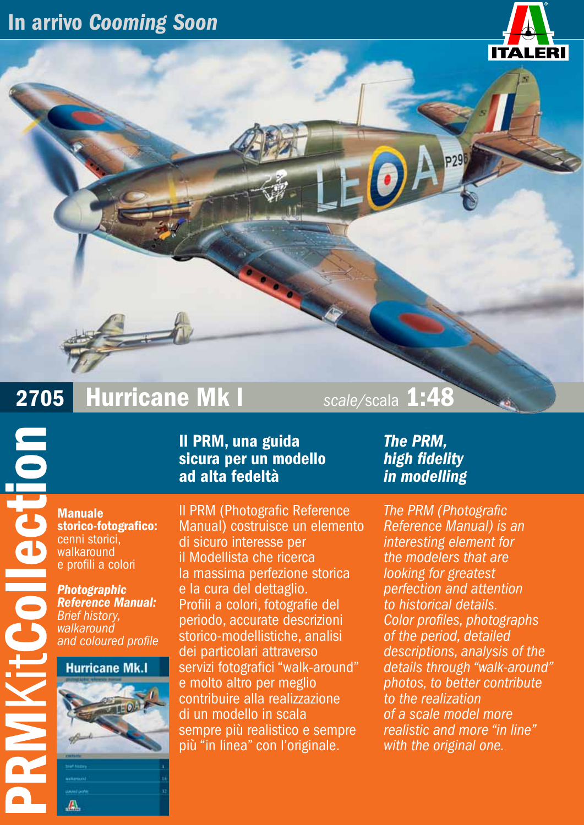### In arrivo *Cooming Soon*



# 2705 Hurricane Mk I *scale/*scala 1:48

Manuale storico-fotografico: cenni storici, walkaround e profili a colori

**POILECTION** 

*Photographic Reference Manual: Brief history, walkaround and coloured profile*

#### **Hurricane Mk.I**



₩

Il PRM, una guida sicura per un modello ad alta fedeltà

Il PRM (Photografic Reference Manual) costruisce un elemento di sicuro interesse per il Modellista che ricerca la massima perfezione storica e la cura del dettaglio. Profili a colori, fotografie del periodo, accurate descrizioni storico-modellistiche, analisi dei particolari attraverso servizi fotografici "walk-around" e molto altro per meglio contribuire alla realizzazione di un modello in scala sempre più realistico e sempre più "in linea" con l'originale.

*The PRM, high fidelity in modelling*

*The PRM (Photografic Reference Manual) is an interesting element for the modelers that are looking for greatest perfection and attention to historical details. Color profiles, photographs of the period, detailed descriptions, analysis of the details through "walk-around" photos, to better contribute to the realization of a scale model more realistic and more "in line" with the original one.*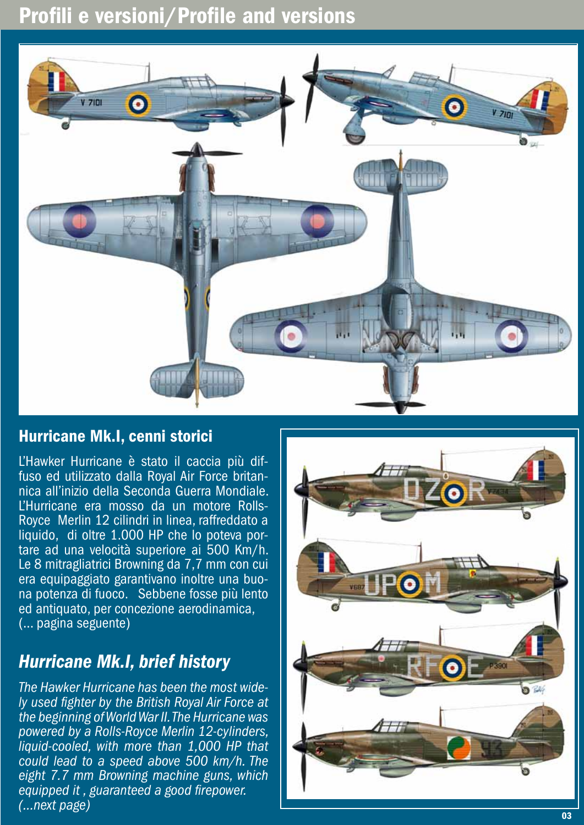### Profili e versioni/Profile and versions



#### Hurricane Mk.I, cenni storici

L'Hawker Hurricane è stato il caccia più dif- fuso ed utilizzato dalla Royal Air Force britan- nica all'inizio della Seconda Guerra Mondiale. L'Hurricane era mosso da un motore Rolls-Royce Merlin 12 cilindri in linea, raffreddato a liquido, di oltre 1.000 HP che lo poteva portare ad una velocità superiore ai 500 Km/h. Le 8 mitragliatrici Browning da 7,7 mm con cui era equipaggiato garantivano inoltre una buona potenza di fuoco. Sebbene fosse più lento ed antiquato, per concezione aerodinamica, (... pagina seguente)

#### *Hurricane Mk.I, brief history*

*The Hawker Hurricane has been the most wide- ly used fighter by the British Royal Air Force at the beginning of World War II. The Hurricane was powered by a Rolls-Royce Merlin 12-cylinders, liquid-cooled, with more than 1,000 HP that could lead to a speed above 500 km/h. The eight 7.7 mm Browning machine guns, which equipped it , guaranteed a good firepower. (...next page)* 

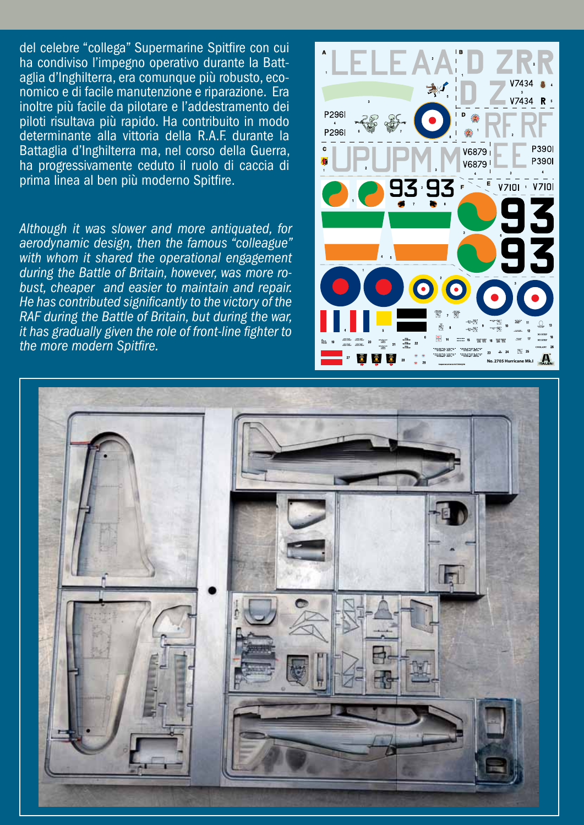del celebre "collega" Supermarine Spitfire con cui ha condiviso l'impegno operativo durante la Batt aglia d'Inghilterra, era comunque più robusto, eco nomico e di facile manutenzione e riparazione. Era inoltre più facile da pilotare e l'addestramento dei piloti risultava più rapido. Ha contribuito in modo determinante alla vittoria della R.A.F. durante la Battaglia d'Inghilterra ma, nel corso della Guerra, ha progressivamente ceduto il ruolo di caccia di prima linea al ben più moderno Spitfire.

*Although it was slower and more antiquated, for aerodynamic design, then the famous "colleague" with whom it shared the operational engagement during the Battle of Britain, however, was more ro bust, cheaper and easier to maintain and repair. He has contributed significantly to the victory of the RAF during the Battle of Britain, but during the war, it has gradually given the role of front-line fighter to the more modern Spitfire.*